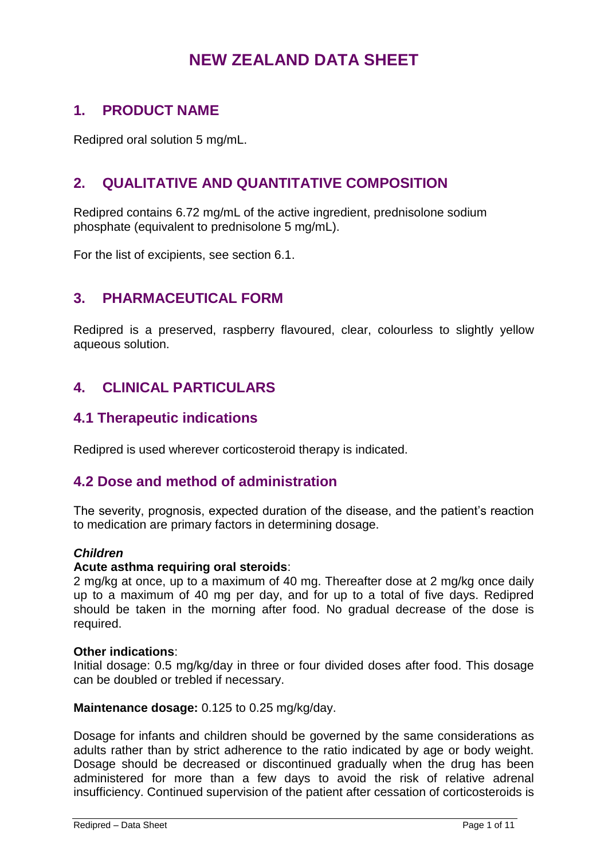# **NEW ZEALAND DATA SHEET**

## **1. PRODUCT NAME**

Redipred oral solution 5 mg/mL.

# **2. QUALITATIVE AND QUANTITATIVE COMPOSITION**

Redipred contains 6.72 mg/mL of the active ingredient, prednisolone sodium phosphate (equivalent to prednisolone 5 mg/mL).

For the list of excipients, see section 6.1.

## **3. PHARMACEUTICAL FORM**

Redipred is a preserved, raspberry flavoured, clear, colourless to slightly yellow aqueous solution.

## **4. CLINICAL PARTICULARS**

### **4.1 Therapeutic indications**

Redipred is used wherever corticosteroid therapy is indicated.

### **4.2 Dose and method of administration**

The severity, prognosis, expected duration of the disease, and the patient's reaction to medication are primary factors in determining dosage.

#### *Children*

#### **Acute asthma requiring oral steroids**:

2 mg/kg at once, up to a maximum of 40 mg. Thereafter dose at 2 mg/kg once daily up to a maximum of 40 mg per day, and for up to a total of five days. Redipred should be taken in the morning after food. No gradual decrease of the dose is required.

#### **Other indications**:

Initial dosage: 0.5 mg/kg/day in three or four divided doses after food. This dosage can be doubled or trebled if necessary.

**Maintenance dosage:** 0.125 to 0.25 mg/kg/day.

Dosage for infants and children should be governed by the same considerations as adults rather than by strict adherence to the ratio indicated by age or body weight. Dosage should be decreased or discontinued gradually when the drug has been administered for more than a few days to avoid the risk of relative adrenal insufficiency. Continued supervision of the patient after cessation of corticosteroids is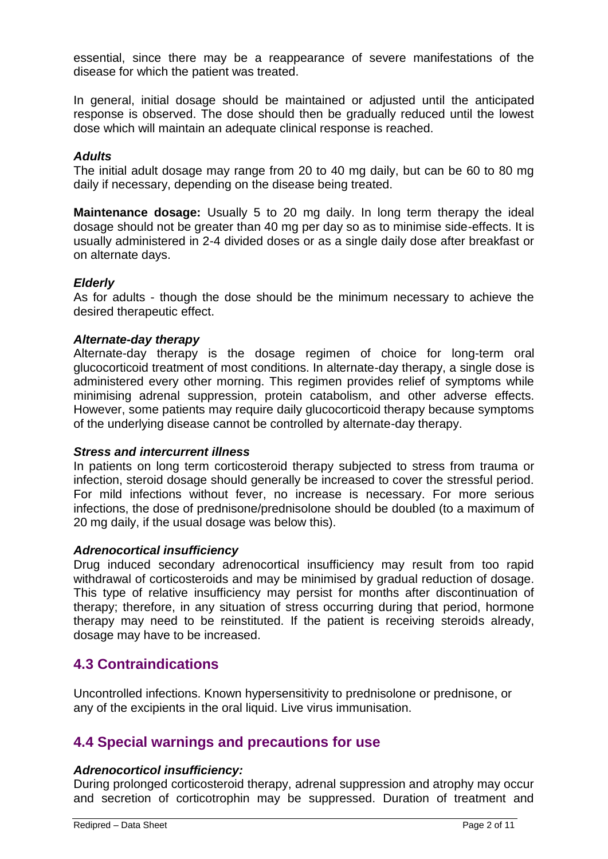essential, since there may be a reappearance of severe manifestations of the disease for which the patient was treated.

In general, initial dosage should be maintained or adjusted until the anticipated response is observed. The dose should then be gradually reduced until the lowest dose which will maintain an adequate clinical response is reached.

#### *Adults*

The initial adult dosage may range from 20 to 40 mg daily, but can be 60 to 80 mg daily if necessary, depending on the disease being treated.

**Maintenance dosage:** Usually 5 to 20 mg daily. In long term therapy the ideal dosage should not be greater than 40 mg per day so as to minimise side-effects. It is usually administered in 2-4 divided doses or as a single daily dose after breakfast or on alternate days.

#### *Elderly*

As for adults - though the dose should be the minimum necessary to achieve the desired therapeutic effect.

#### *Alternate-day therapy*

Alternate-day therapy is the dosage regimen of choice for long-term oral glucocorticoid treatment of most conditions. In alternate-day therapy, a single dose is administered every other morning. This regimen provides relief of symptoms while minimising adrenal suppression, protein catabolism, and other adverse effects. However, some patients may require daily glucocorticoid therapy because symptoms of the underlying disease cannot be controlled by alternate-day therapy.

#### *Stress and intercurrent illness*

In patients on long term corticosteroid therapy subjected to stress from trauma or infection, steroid dosage should generally be increased to cover the stressful period. For mild infections without fever, no increase is necessary. For more serious infections, the dose of prednisone/prednisolone should be doubled (to a maximum of 20 mg daily, if the usual dosage was below this).

#### *Adrenocortical insufficiency*

Drug induced secondary adrenocortical insufficiency may result from too rapid withdrawal of corticosteroids and may be minimised by gradual reduction of dosage. This type of relative insufficiency may persist for months after discontinuation of therapy; therefore, in any situation of stress occurring during that period, hormone therapy may need to be reinstituted. If the patient is receiving steroids already, dosage may have to be increased.

### **4.3 Contraindications**

Uncontrolled infections. Known hypersensitivity to prednisolone or prednisone, or any of the excipients in the oral liquid. Live virus immunisation.

### **4.4 Special warnings and precautions for use**

#### *Adrenocorticol insufficiency:*

During prolonged corticosteroid therapy, adrenal suppression and atrophy may occur and secretion of corticotrophin may be suppressed. Duration of treatment and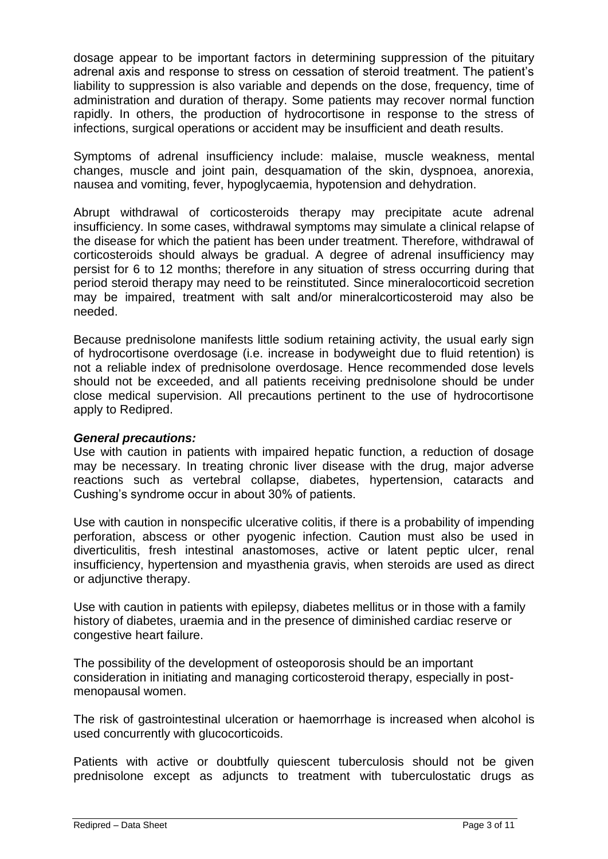dosage appear to be important factors in determining suppression of the pituitary adrenal axis and response to stress on cessation of steroid treatment. The patient's liability to suppression is also variable and depends on the dose, frequency, time of administration and duration of therapy. Some patients may recover normal function rapidly. In others, the production of hydrocortisone in response to the stress of infections, surgical operations or accident may be insufficient and death results.

Symptoms of adrenal insufficiency include: malaise, muscle weakness, mental changes, muscle and joint pain, desquamation of the skin, dyspnoea, anorexia, nausea and vomiting, fever, hypoglycaemia, hypotension and dehydration.

Abrupt withdrawal of corticosteroids therapy may precipitate acute adrenal insufficiency. In some cases, withdrawal symptoms may simulate a clinical relapse of the disease for which the patient has been under treatment. Therefore, withdrawal of corticosteroids should always be gradual. A degree of adrenal insufficiency may persist for 6 to 12 months; therefore in any situation of stress occurring during that period steroid therapy may need to be reinstituted. Since mineralocorticoid secretion may be impaired, treatment with salt and/or mineralcorticosteroid may also be needed.

Because prednisolone manifests little sodium retaining activity, the usual early sign of hydrocortisone overdosage (i.e. increase in bodyweight due to fluid retention) is not a reliable index of prednisolone overdosage. Hence recommended dose levels should not be exceeded, and all patients receiving prednisolone should be under close medical supervision. All precautions pertinent to the use of hydrocortisone apply to Redipred.

#### *General precautions:*

Use with caution in patients with impaired hepatic function, a reduction of dosage may be necessary. In treating chronic liver disease with the drug, major adverse reactions such as vertebral collapse, diabetes, hypertension, cataracts and Cushing's syndrome occur in about 30% of patients.

Use with caution in nonspecific ulcerative colitis, if there is a probability of impending perforation, abscess or other pyogenic infection. Caution must also be used in diverticulitis, fresh intestinal anastomoses, active or latent peptic ulcer, renal insufficiency, hypertension and myasthenia gravis, when steroids are used as direct or adjunctive therapy.

Use with caution in patients with epilepsy, diabetes mellitus or in those with a family history of diabetes, uraemia and in the presence of diminished cardiac reserve or congestive heart failure.

The possibility of the development of osteoporosis should be an important consideration in initiating and managing corticosteroid therapy, especially in postmenopausal women.

The risk of gastrointestinal ulceration or haemorrhage is increased when alcohol is used concurrently with glucocorticoids.

Patients with active or doubtfully quiescent tuberculosis should not be given prednisolone except as adjuncts to treatment with tuberculostatic drugs as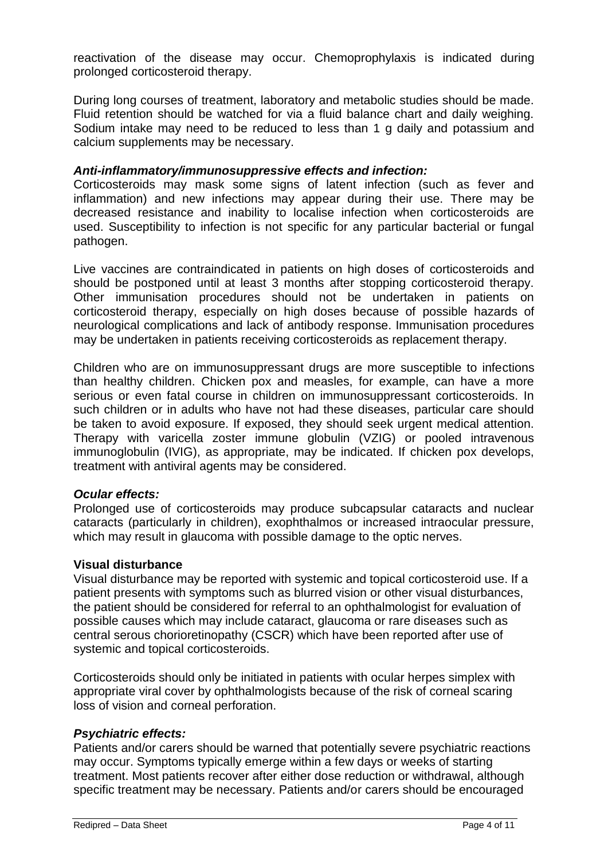reactivation of the disease may occur. Chemoprophylaxis is indicated during prolonged corticosteroid therapy.

During long courses of treatment, laboratory and metabolic studies should be made. Fluid retention should be watched for via a fluid balance chart and daily weighing. Sodium intake may need to be reduced to less than 1 g daily and potassium and calcium supplements may be necessary.

#### *Anti-inflammatory/immunosuppressive effects and infection:*

Corticosteroids may mask some signs of latent infection (such as fever and inflammation) and new infections may appear during their use. There may be decreased resistance and inability to localise infection when corticosteroids are used. Susceptibility to infection is not specific for any particular bacterial or fungal pathogen.

Live vaccines are contraindicated in patients on high doses of corticosteroids and should be postponed until at least 3 months after stopping corticosteroid therapy. Other immunisation procedures should not be undertaken in patients on corticosteroid therapy, especially on high doses because of possible hazards of neurological complications and lack of antibody response. Immunisation procedures may be undertaken in patients receiving corticosteroids as replacement therapy.

Children who are on immunosuppressant drugs are more susceptible to infections than healthy children. Chicken pox and measles, for example, can have a more serious or even fatal course in children on immunosuppressant corticosteroids. In such children or in adults who have not had these diseases, particular care should be taken to avoid exposure. If exposed, they should seek urgent medical attention. Therapy with varicella zoster immune globulin (VZIG) or pooled intravenous immunoglobulin (IVIG), as appropriate, may be indicated. If chicken pox develops, treatment with antiviral agents may be considered.

#### *Ocular effects:*

Prolonged use of corticosteroids may produce subcapsular cataracts and nuclear cataracts (particularly in children), exophthalmos or increased intraocular pressure, which may result in glaucoma with possible damage to the optic nerves.

#### **Visual disturbance**

Visual disturbance may be reported with systemic and topical corticosteroid use. If a patient presents with symptoms such as blurred vision or other visual disturbances, the patient should be considered for referral to an ophthalmologist for evaluation of possible causes which may include cataract, glaucoma or rare diseases such as central serous chorioretinopathy (CSCR) which have been reported after use of systemic and topical corticosteroids.

Corticosteroids should only be initiated in patients with ocular herpes simplex with appropriate viral cover by ophthalmologists because of the risk of corneal scaring loss of vision and corneal perforation.

#### *Psychiatric effects:*

Patients and/or carers should be warned that potentially severe psychiatric reactions may occur. Symptoms typically emerge within a few days or weeks of starting treatment. Most patients recover after either dose reduction or withdrawal, although specific treatment may be necessary. Patients and/or carers should be encouraged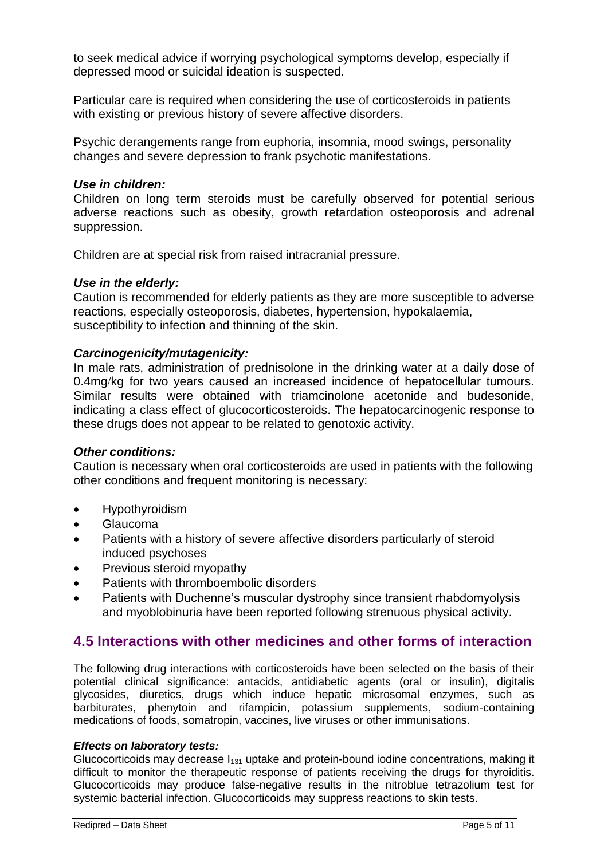to seek medical advice if worrying psychological symptoms develop, especially if depressed mood or suicidal ideation is suspected.

Particular care is required when considering the use of corticosteroids in patients with existing or previous history of severe affective disorders.

Psychic derangements range from euphoria, insomnia, mood swings, personality changes and severe depression to frank psychotic manifestations.

#### *Use in children:*

Children on long term steroids must be carefully observed for potential serious adverse reactions such as obesity, growth retardation osteoporosis and adrenal suppression.

Children are at special risk from raised intracranial pressure.

#### *Use in the elderly:*

Caution is recommended for elderly patients as they are more susceptible to adverse reactions, especially osteoporosis, diabetes, hypertension, hypokalaemia, susceptibility to infection and thinning of the skin.

#### *Carcinogenicity/mutagenicity:*

In male rats, administration of prednisolone in the drinking water at a daily dose of 0.4mg/kg for two years caused an increased incidence of hepatocellular tumours. Similar results were obtained with triamcinolone acetonide and budesonide, indicating a class effect of glucocorticosteroids. The hepatocarcinogenic response to these drugs does not appear to be related to genotoxic activity.

#### *Other conditions:*

Caution is necessary when oral corticosteroids are used in patients with the following other conditions and frequent monitoring is necessary:

- **•** Hypothyroidism
- Glaucoma
- Patients with a history of severe affective disorders particularly of steroid induced psychoses
- Previous steroid myopathy
- Patients with thromboembolic disorders
- Patients with Duchenne's muscular dystrophy since transient rhabdomyolysis and myoblobinuria have been reported following strenuous physical activity.

### **4.5 Interactions with other medicines and other forms of interaction**

The following drug interactions with corticosteroids have been selected on the basis of their potential clinical significance: antacids, antidiabetic agents (oral or insulin), digitalis glycosides, diuretics, drugs which induce hepatic microsomal enzymes, such as barbiturates, phenytoin and rifampicin, potassium supplements, sodium-containing medications of foods, somatropin, vaccines, live viruses or other immunisations.

#### *Effects on laboratory tests:*

Glucocorticoids may decrease  $I_{131}$  uptake and protein-bound iodine concentrations, making it difficult to monitor the therapeutic response of patients receiving the drugs for thyroiditis. Glucocorticoids may produce false-negative results in the nitroblue tetrazolium test for systemic bacterial infection. Glucocorticoids may suppress reactions to skin tests.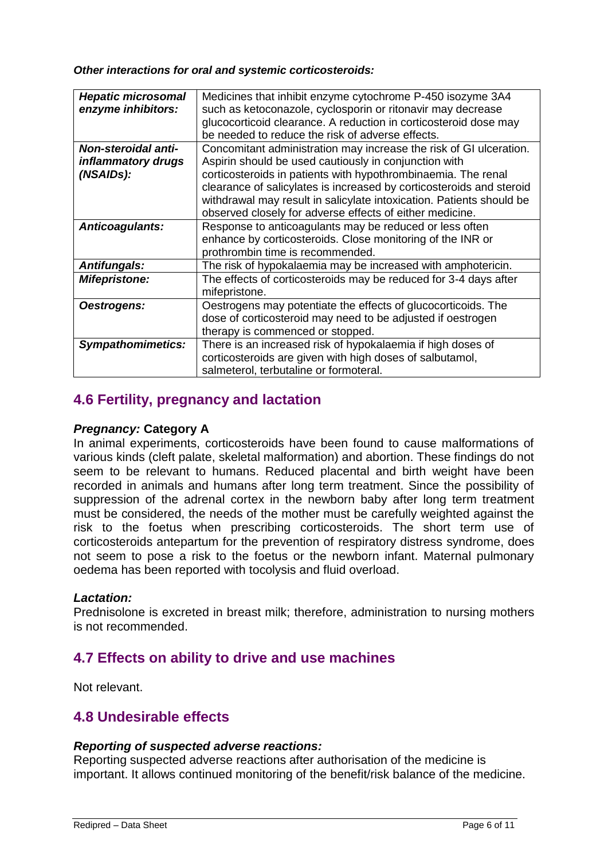*Other interactions for oral and systemic corticosteroids:*

| <b>Hepatic microsomal</b>  | Medicines that inhibit enzyme cytochrome P-450 isozyme 3A4           |
|----------------------------|----------------------------------------------------------------------|
|                            |                                                                      |
| enzyme inhibitors:         | such as ketoconazole, cyclosporin or ritonavir may decrease          |
|                            | glucocorticoid clearance. A reduction in corticosteroid dose may     |
|                            | be needed to reduce the risk of adverse effects.                     |
| <b>Non-steroidal anti-</b> | Concomitant administration may increase the risk of GI ulceration.   |
| inflammatory drugs         | Aspirin should be used cautiously in conjunction with                |
| (NSAIDs):                  | corticosteroids in patients with hypothrombinaemia. The renal        |
|                            |                                                                      |
|                            | clearance of salicylates is increased by corticosteroids and steroid |
|                            | withdrawal may result in salicylate intoxication. Patients should be |
|                            | observed closely for adverse effects of either medicine.             |
| Anticoagulants:            | Response to anticoagulants may be reduced or less often              |
|                            | enhance by corticosteroids. Close monitoring of the INR or           |
|                            | prothrombin time is recommended.                                     |
|                            |                                                                      |
| <b>Antifungals:</b>        | The risk of hypokalaemia may be increased with amphotericin.         |
| <b>Mifepristone:</b>       | The effects of corticosteroids may be reduced for 3-4 days after     |
|                            | mifepristone.                                                        |
| Oestrogens:                | Oestrogens may potentiate the effects of glucocorticoids. The        |
|                            | dose of corticosteroid may need to be adjusted if oestrogen          |
|                            | therapy is commenced or stopped.                                     |
|                            |                                                                      |
| <b>Sympathomimetics:</b>   | There is an increased risk of hypokalaemia if high doses of          |
|                            | corticosteroids are given with high doses of salbutamol,             |
|                            | salmeterol, terbutaline or formoteral.                               |

## **4.6 Fertility, pregnancy and lactation**

#### *Pregnancy:* **Category A**

In animal experiments, corticosteroids have been found to cause malformations of various kinds (cleft palate, skeletal malformation) and abortion. These findings do not seem to be relevant to humans. Reduced placental and birth weight have been recorded in animals and humans after long term treatment. Since the possibility of suppression of the adrenal cortex in the newborn baby after long term treatment must be considered, the needs of the mother must be carefully weighted against the risk to the foetus when prescribing corticosteroids. The short term use of corticosteroids antepartum for the prevention of respiratory distress syndrome, does not seem to pose a risk to the foetus or the newborn infant. Maternal pulmonary oedema has been reported with tocolysis and fluid overload.

#### *Lactation:*

Prednisolone is excreted in breast milk; therefore, administration to nursing mothers is not recommended.

## **4.7 Effects on ability to drive and use machines**

Not relevant.

## **4.8 Undesirable effects**

#### *Reporting of suspected adverse reactions:*

Reporting suspected adverse reactions after authorisation of the medicine is important. It allows continued monitoring of the benefit/risk balance of the medicine.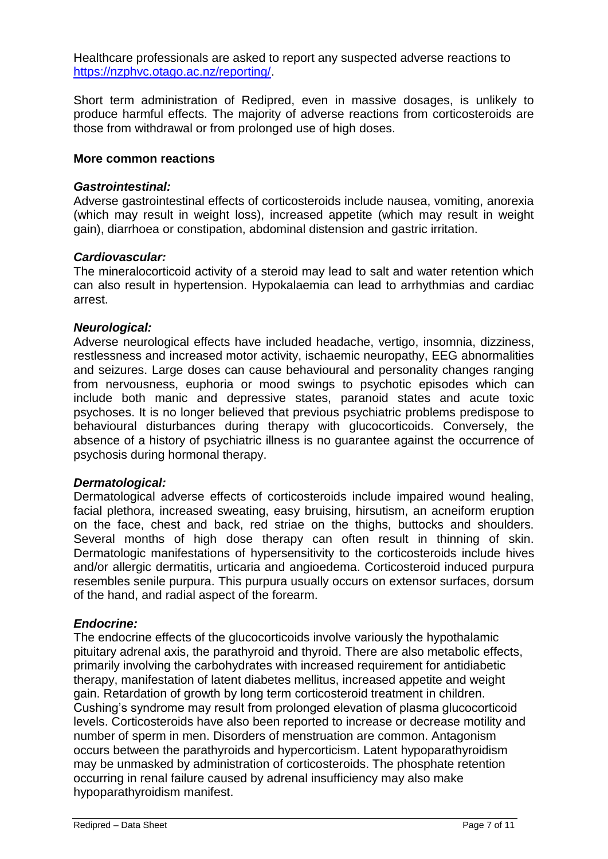Healthcare professionals are asked to report any suspected adverse reactions to [https://nzphvc.otago.ac.nz/reporting/.](https://nzphvc.otago.ac.nz/reporting/)

Short term administration of Redipred, even in massive dosages, is unlikely to produce harmful effects. The majority of adverse reactions from corticosteroids are those from withdrawal or from prolonged use of high doses.

#### **More common reactions**

#### *Gastrointestinal:*

Adverse gastrointestinal effects of corticosteroids include nausea, vomiting, anorexia (which may result in weight loss), increased appetite (which may result in weight gain), diarrhoea or constipation, abdominal distension and gastric irritation.

#### *Cardiovascular:*

The mineralocorticoid activity of a steroid may lead to salt and water retention which can also result in hypertension. Hypokalaemia can lead to arrhythmias and cardiac arrest.

#### *Neurological:*

Adverse neurological effects have included headache, vertigo, insomnia, dizziness, restlessness and increased motor activity, ischaemic neuropathy, EEG abnormalities and seizures. Large doses can cause behavioural and personality changes ranging from nervousness, euphoria or mood swings to psychotic episodes which can include both manic and depressive states, paranoid states and acute toxic psychoses. It is no longer believed that previous psychiatric problems predispose to behavioural disturbances during therapy with glucocorticoids. Conversely, the absence of a history of psychiatric illness is no guarantee against the occurrence of psychosis during hormonal therapy.

#### *Dermatological:*

Dermatological adverse effects of corticosteroids include impaired wound healing, facial plethora, increased sweating, easy bruising, hirsutism, an acneiform eruption on the face, chest and back, red striae on the thighs, buttocks and shoulders. Several months of high dose therapy can often result in thinning of skin. Dermatologic manifestations of hypersensitivity to the corticosteroids include hives and/or allergic dermatitis, urticaria and angioedema. Corticosteroid induced purpura resembles senile purpura. This purpura usually occurs on extensor surfaces, dorsum of the hand, and radial aspect of the forearm.

#### *Endocrine:*

The endocrine effects of the glucocorticoids involve variously the hypothalamic pituitary adrenal axis, the parathyroid and thyroid. There are also metabolic effects, primarily involving the carbohydrates with increased requirement for antidiabetic therapy, manifestation of latent diabetes mellitus, increased appetite and weight gain. Retardation of growth by long term corticosteroid treatment in children. Cushing's syndrome may result from prolonged elevation of plasma glucocorticoid levels. Corticosteroids have also been reported to increase or decrease motility and number of sperm in men. Disorders of menstruation are common. Antagonism occurs between the parathyroids and hypercorticism. Latent hypoparathyroidism may be unmasked by administration of corticosteroids. The phosphate retention occurring in renal failure caused by adrenal insufficiency may also make hypoparathyroidism manifest.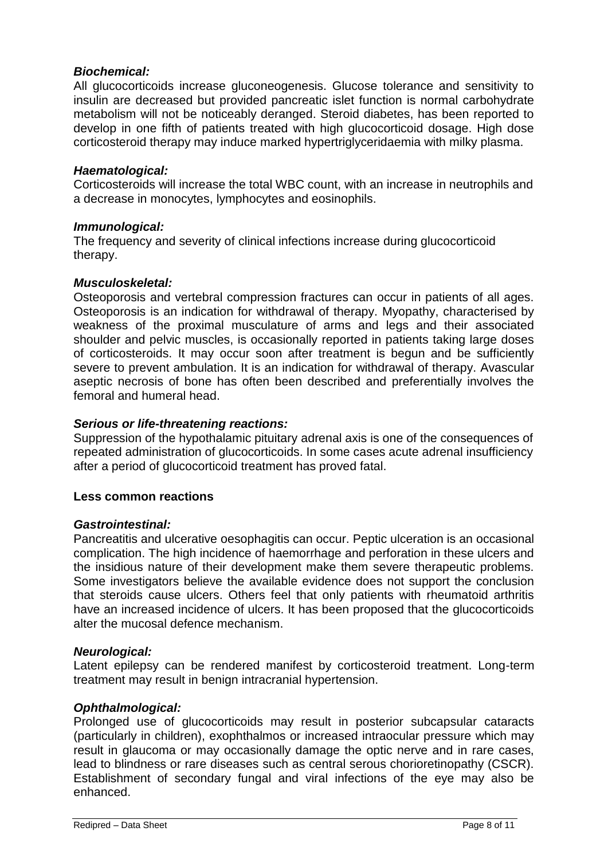#### *Biochemical:*

All glucocorticoids increase gluconeogenesis. Glucose tolerance and sensitivity to insulin are decreased but provided pancreatic islet function is normal carbohydrate metabolism will not be noticeably deranged. Steroid diabetes, has been reported to develop in one fifth of patients treated with high glucocorticoid dosage. High dose corticosteroid therapy may induce marked hypertriglyceridaemia with milky plasma.

#### *Haematological:*

Corticosteroids will increase the total WBC count, with an increase in neutrophils and a decrease in monocytes, lymphocytes and eosinophils.

#### *Immunological:*

The frequency and severity of clinical infections increase during glucocorticoid therapy.

#### *Musculoskeletal:*

Osteoporosis and vertebral compression fractures can occur in patients of all ages. Osteoporosis is an indication for withdrawal of therapy. Myopathy, characterised by weakness of the proximal musculature of arms and legs and their associated shoulder and pelvic muscles, is occasionally reported in patients taking large doses of corticosteroids. It may occur soon after treatment is begun and be sufficiently severe to prevent ambulation. It is an indication for withdrawal of therapy. Avascular aseptic necrosis of bone has often been described and preferentially involves the femoral and humeral head.

#### *Serious or life-threatening reactions:*

Suppression of the hypothalamic pituitary adrenal axis is one of the consequences of repeated administration of glucocorticoids. In some cases acute adrenal insufficiency after a period of glucocorticoid treatment has proved fatal.

#### **Less common reactions**

#### *Gastrointestinal:*

Pancreatitis and ulcerative oesophagitis can occur. Peptic ulceration is an occasional complication. The high incidence of haemorrhage and perforation in these ulcers and the insidious nature of their development make them severe therapeutic problems. Some investigators believe the available evidence does not support the conclusion that steroids cause ulcers. Others feel that only patients with rheumatoid arthritis have an increased incidence of ulcers. It has been proposed that the glucocorticoids alter the mucosal defence mechanism.

#### *Neurological:*

Latent epilepsy can be rendered manifest by corticosteroid treatment. Long-term treatment may result in benign intracranial hypertension.

#### *Ophthalmological:*

Prolonged use of glucocorticoids may result in posterior subcapsular cataracts (particularly in children), exophthalmos or increased intraocular pressure which may result in glaucoma or may occasionally damage the optic nerve and in rare cases, lead to blindness or rare diseases such as central serous chorioretinopathy (CSCR). Establishment of secondary fungal and viral infections of the eye may also be enhanced.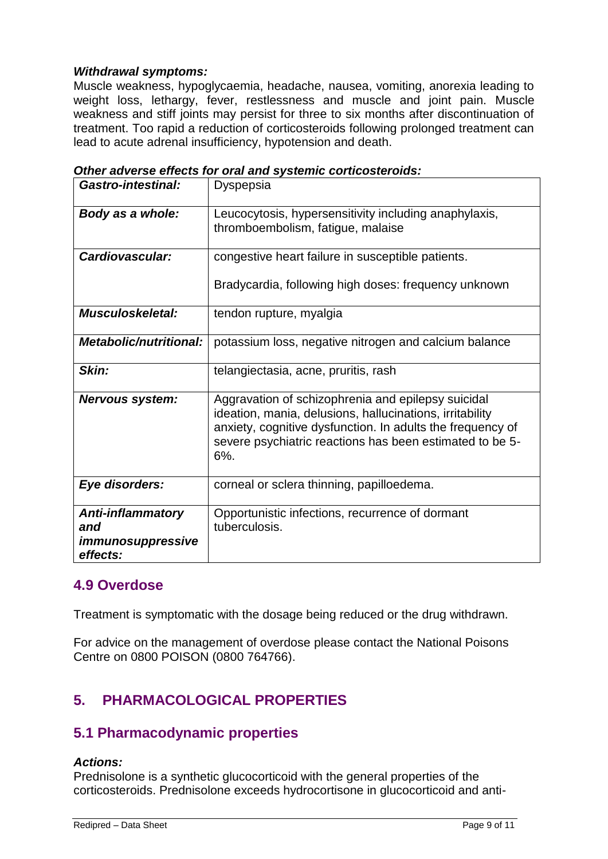#### *Withdrawal symptoms:*

Muscle weakness, hypoglycaemia, headache, nausea, vomiting, anorexia leading to weight loss, lethargy, fever, restlessness and muscle and joint pain. Muscle weakness and stiff joints may persist for three to six months after discontinuation of treatment. Too rapid a reduction of corticosteroids following prolonged treatment can lead to acute adrenal insufficiency, hypotension and death.

| <b>Gastro-intestinal:</b>                                        | Dyspepsia                                                                                                                                                                                                                                       |
|------------------------------------------------------------------|-------------------------------------------------------------------------------------------------------------------------------------------------------------------------------------------------------------------------------------------------|
| Body as a whole:                                                 | Leucocytosis, hypersensitivity including anaphylaxis,<br>thromboembolism, fatigue, malaise                                                                                                                                                      |
| Cardiovascular:                                                  | congestive heart failure in susceptible patients.                                                                                                                                                                                               |
|                                                                  | Bradycardia, following high doses: frequency unknown                                                                                                                                                                                            |
| <b>Musculoskeletal:</b>                                          | tendon rupture, myalgia                                                                                                                                                                                                                         |
| <b>Metabolic/nutritional:</b>                                    | potassium loss, negative nitrogen and calcium balance                                                                                                                                                                                           |
| Skin:                                                            | telangiectasia, acne, pruritis, rash                                                                                                                                                                                                            |
| <b>Nervous system:</b>                                           | Aggravation of schizophrenia and epilepsy suicidal<br>ideation, mania, delusions, hallucinations, irritability<br>anxiety, cognitive dysfunction. In adults the frequency of<br>severe psychiatric reactions has been estimated to be 5-<br>6%. |
| Eye disorders:                                                   | corneal or sclera thinning, papilloedema.                                                                                                                                                                                                       |
| <b>Anti-inflammatory</b><br>and<br>immunosuppressive<br>effects: | Opportunistic infections, recurrence of dormant<br>tuberculosis.                                                                                                                                                                                |

*Other adverse effects for oral and systemic corticosteroids:*

### **4.9 Overdose**

Treatment is symptomatic with the dosage being reduced or the drug withdrawn.

For advice on the management of overdose please contact the National Poisons Centre on 0800 POISON (0800 764766).

# **5. PHARMACOLOGICAL PROPERTIES**

## **5.1 Pharmacodynamic properties**

#### *Actions:*

Prednisolone is a synthetic glucocorticoid with the general properties of the corticosteroids. Prednisolone exceeds hydrocortisone in glucocorticoid and anti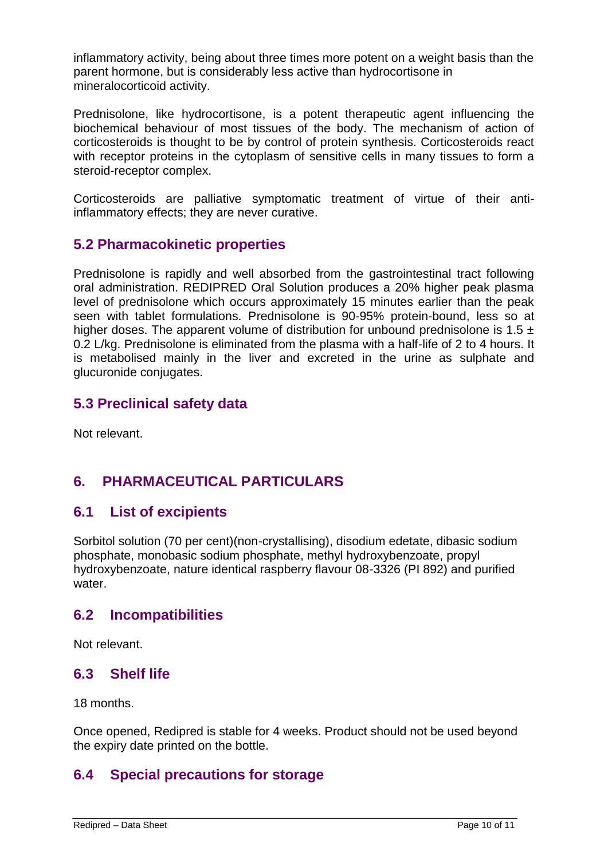inflammatory activity, being about three times more potent on a weight basis than the parent hormone, but is considerably less active than hydrocortisone in mineralocorticoid activity.

Prednisolone, like hydrocortisone, is a potent therapeutic agent influencing the biochemical behaviour of most tissues of the body. The mechanism of action of corticosteroids is thought to be by control of protein synthesis. Corticosteroids react with receptor proteins in the cytoplasm of sensitive cells in many tissues to form a steroid-receptor complex.

Corticosteroids are palliative symptomatic treatment of virtue of their antiinflammatory effects; they are never curative.

### **5.2 Pharmacokinetic properties**

Prednisolone is rapidly and well absorbed from the gastrointestinal tract following oral administration. REDIPRED Oral Solution produces a 20% higher peak plasma level of prednisolone which occurs approximately 15 minutes earlier than the peak seen with tablet formulations. Prednisolone is 90-95% protein-bound, less so at higher doses. The apparent volume of distribution for unbound prednisolone is 1.5  $\pm$ 0.2 L/kg. Prednisolone is eliminated from the plasma with a half-life of 2 to 4 hours. It is metabolised mainly in the liver and excreted in the urine as sulphate and glucuronide conjugates.

### **5.3 Preclinical safety data**

Not relevant.

## **6. PHARMACEUTICAL PARTICULARS**

### **6.1 List of excipients**

Sorbitol solution (70 per cent)(non-crystallising), disodium edetate, dibasic sodium phosphate, monobasic sodium phosphate, methyl hydroxybenzoate, propyl hydroxybenzoate, nature identical raspberry flavour 08-3326 (PI 892) and purified water.

### **6.2 Incompatibilities**

Not relevant.

### **6.3 Shelf life**

18 months.

Once opened, Redipred is stable for 4 weeks. Product should not be used beyond the expiry date printed on the bottle.

## **6.4 Special precautions for storage**